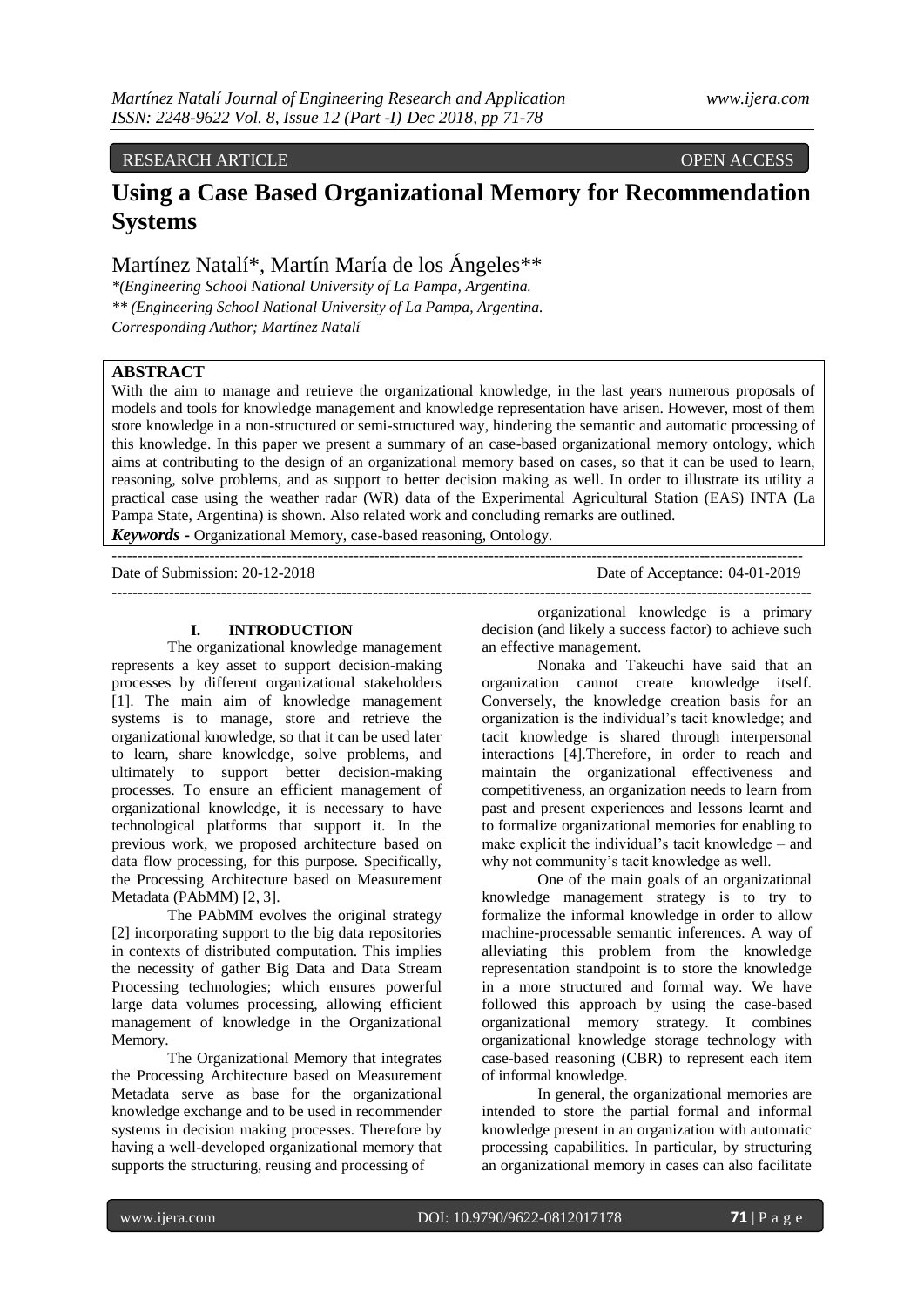## RESEARCH ARTICLE OPEN ACCESS

# **Using a Case Based Organizational Memory for Recommendation Systems**

Martínez Natalí\*, Martín María de los Ángeles\*\*

*\*(Engineering School National University of La Pampa, Argentina. \*\* (Engineering School National University of La Pampa, Argentina. Corresponding Author; Martínez Natalí*

## **ABSTRACT**

With the aim to manage and retrieve the organizational knowledge, in the last years numerous proposals of models and tools for knowledge management and knowledge representation have arisen. However, most of them store knowledge in a non-structured or semi-structured way, hindering the semantic and automatic processing of this knowledge. In this paper we present a summary of an case-based organizational memory ontology, which aims at contributing to the design of an organizational memory based on cases, so that it can be used to learn, reasoning, solve problems, and as support to better decision making as well. In order to illustrate its utility a practical case using the weather radar (WR) data of the Experimental Agricultural Station (EAS) INTA (La Pampa State, Argentina) is shown. Also related work and concluding remarks are outlined.

*Keywords* **-** Organizational Memory, case-based reasoning, Ontology.

-------------------------------------------------------------------------------------------------------------------------------------- Date of Submission: 20-12-2018 Date of Acceptance: 04-01-2019 --------------------------------------------------------------------------------------------------------------------------------------

#### **I. INTRODUCTION**

The organizational knowledge management represents a key asset to support decision-making processes by different organizational stakeholders [1]. The main aim of knowledge management systems is to manage, store and retrieve the organizational knowledge, so that it can be used later to learn, share knowledge, solve problems, and ultimately to support better decision-making processes. To ensure an efficient management of organizational knowledge, it is necessary to have technological platforms that support it. In the previous work, we proposed architecture based on data flow processing, for this purpose. Specifically, the Processing Architecture based on Measurement Metadata (PAbMM) [2, 3].

The PAbMM evolves the original strategy [2] incorporating support to the big data repositories in contexts of distributed computation. This implies the necessity of gather Big Data and Data Stream Processing technologies; which ensures powerful large data volumes processing, allowing efficient management of knowledge in the Organizational Memory.

The Organizational Memory that integrates the Processing Architecture based on Measurement Metadata serve as base for the organizational knowledge exchange and to be used in recommender systems in decision making processes. Therefore by having a well-developed organizational memory that supports the structuring, reusing and processing of

organizational knowledge is a primary decision (and likely a success factor) to achieve such an effective management.

Nonaka and Takeuchi have said that an organization cannot create knowledge itself. Conversely, the knowledge creation basis for an organization is the individual"s tacit knowledge; and tacit knowledge is shared through interpersonal interactions [4].Therefore, in order to reach and maintain the organizational effectiveness and competitiveness, an organization needs to learn from past and present experiences and lessons learnt and to formalize organizational memories for enabling to make explicit the individual"s tacit knowledge – and why not community's tacit knowledge as well.

One of the main goals of an organizational knowledge management strategy is to try to formalize the informal knowledge in order to allow machine-processable semantic inferences. A way of alleviating this problem from the knowledge representation standpoint is to store the knowledge in a more structured and formal way. We have followed this approach by using the case-based organizational memory strategy. It combines organizational knowledge storage technology with case-based reasoning (CBR) to represent each item of informal knowledge.

In general, the organizational memories are intended to store the partial formal and informal knowledge present in an organization with automatic processing capabilities. In particular, by structuring an organizational memory in cases can also facilitate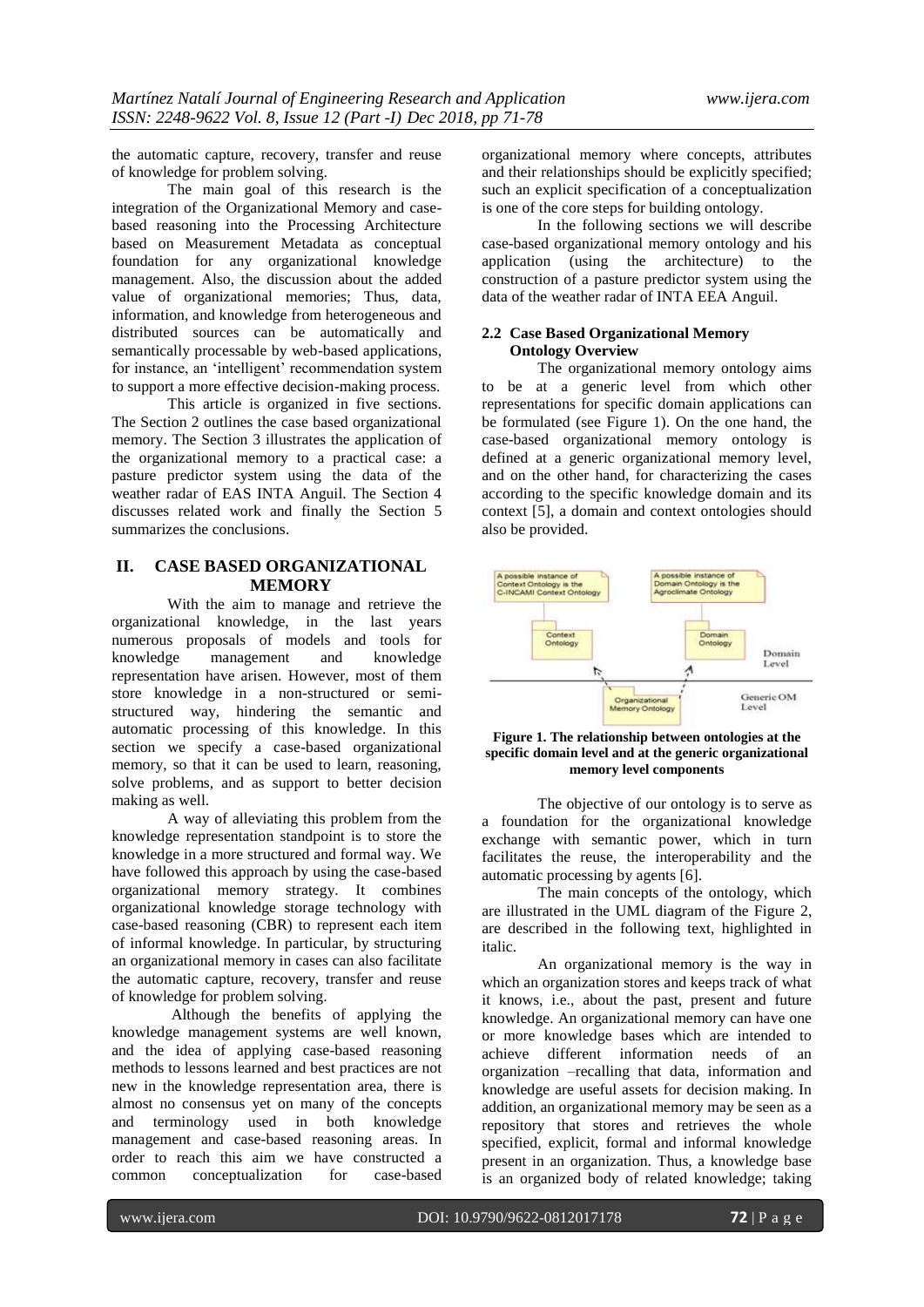the automatic capture, recovery, transfer and reuse of knowledge for problem solving.

The main goal of this research is the integration of the Organizational Memory and casebased reasoning into the Processing Architecture based on Measurement Metadata as conceptual foundation for any organizational knowledge management. Also, the discussion about the added value of organizational memories; Thus, data, information, and knowledge from heterogeneous and distributed sources can be automatically and semantically processable by web-based applications, for instance, an 'intelligent' recommendation system to support a more effective decision-making process.

This article is organized in five sections. The Section 2 outlines the case based organizational memory. The Section 3 illustrates the application of the organizational memory to a practical case: a pasture predictor system using the data of the weather radar of EAS INTA Anguil. The Section 4 discusses related work and finally the Section 5 summarizes the conclusions.

## **II. CASE BASED ORGANIZATIONAL MEMORY**

With the aim to manage and retrieve the organizational knowledge, in the last years numerous proposals of models and tools for knowledge management and knowledge representation have arisen. However, most of them store knowledge in a non-structured or semistructured way, hindering the semantic and automatic processing of this knowledge. In this section we specify a case-based organizational memory, so that it can be used to learn, reasoning, solve problems, and as support to better decision making as well.

A way of alleviating this problem from the knowledge representation standpoint is to store the knowledge in a more structured and formal way. We have followed this approach by using the case-based organizational memory strategy. It combines organizational knowledge storage technology with case-based reasoning (CBR) to represent each item of informal knowledge. In particular, by structuring an organizational memory in cases can also facilitate the automatic capture, recovery, transfer and reuse of knowledge for problem solving.

Although the benefits of applying the knowledge management systems are well known, and the idea of applying case-based reasoning methods to lessons learned and best practices are not new in the knowledge representation area, there is almost no consensus yet on many of the concepts and terminology used in both knowledge management and case-based reasoning areas. In order to reach this aim we have constructed a common conceptualization for case-based

organizational memory where concepts, attributes and their relationships should be explicitly specified; such an explicit specification of a conceptualization is one of the core steps for building ontology.

In the following sections we will describe case-based organizational memory ontology and his application (using the architecture) to the construction of a pasture predictor system using the data of the weather radar of INTA EEA Anguil.

## **2.2 Case Based Organizational Memory Ontology Overview**

The organizational memory ontology aims to be at a generic level from which other representations for specific domain applications can be formulated (see Figure 1). On the one hand, the case-based organizational memory ontology is defined at a generic organizational memory level, and on the other hand, for characterizing the cases according to the specific knowledge domain and its context [5], a domain and context ontologies should also be provided.



**Figure 1. The relationship between ontologies at the specific domain level and at the generic organizational memory level components**

The objective of our ontology is to serve as a foundation for the organizational knowledge exchange with semantic power, which in turn facilitates the reuse, the interoperability and the automatic processing by agents [6].

The main concepts of the ontology, which are illustrated in the UML diagram of the Figure 2, are described in the following text, highlighted in italic.

An organizational memory is the way in which an organization stores and keeps track of what it knows, i.e., about the past, present and future knowledge. An organizational memory can have one or more knowledge bases which are intended to achieve different information needs of an organization –recalling that data, information and knowledge are useful assets for decision making. In addition, an organizational memory may be seen as a repository that stores and retrieves the whole specified, explicit, formal and informal knowledge present in an organization. Thus, a knowledge base is an organized body of related knowledge; taking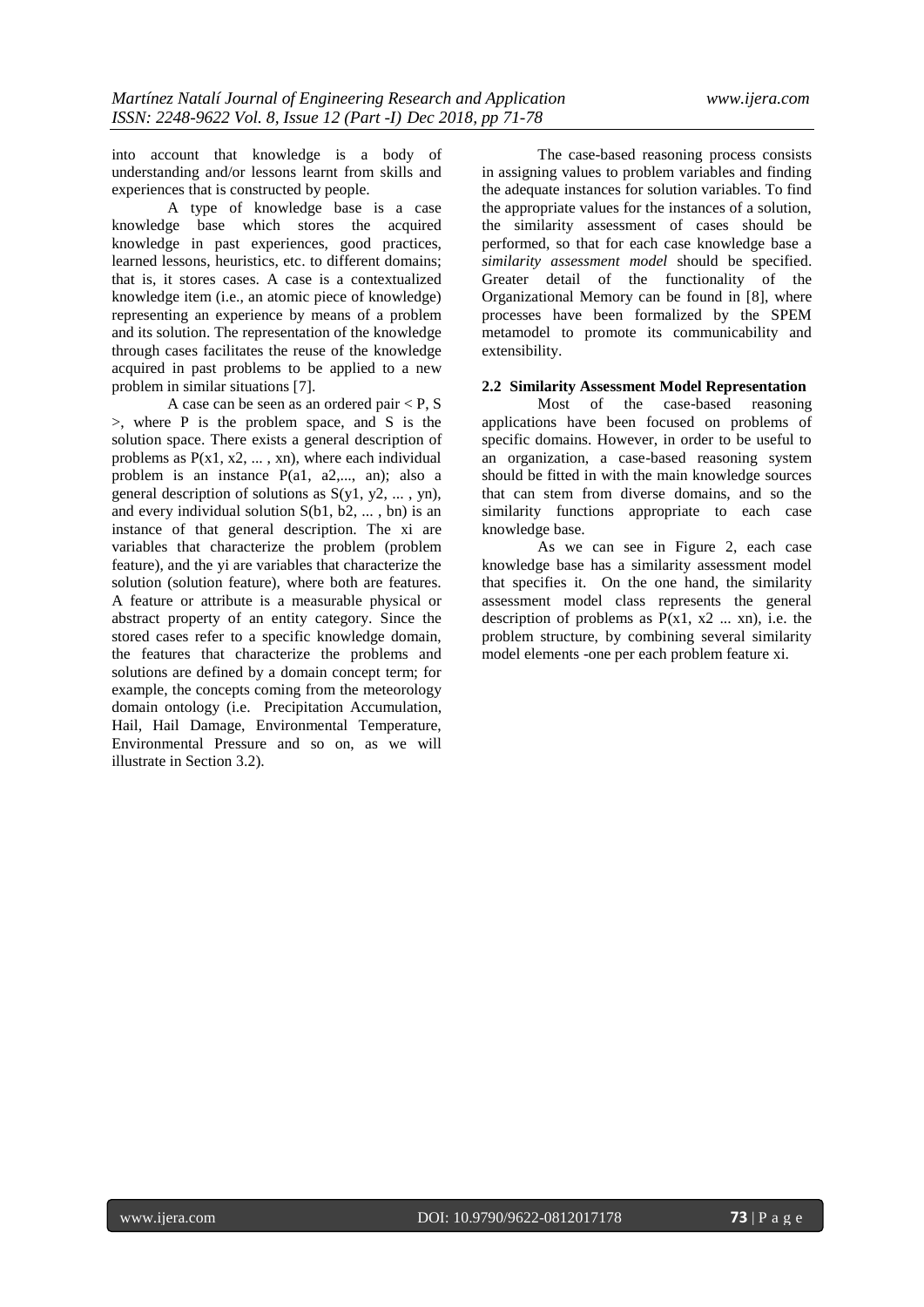into account that knowledge is a body of understanding and/or lessons learnt from skills and experiences that is constructed by people.

A type of knowledge base is a case knowledge base which stores the acquired knowledge in past experiences, good practices, learned lessons, heuristics, etc. to different domains; that is, it stores cases. A case is a contextualized knowledge item (i.e., an atomic piece of knowledge) representing an experience by means of a problem and its solution. The representation of the knowledge through cases facilitates the reuse of the knowledge acquired in past problems to be applied to a new problem in similar situations [7].

A case can be seen as an ordered pair < P, S >, where P is the problem space, and S is the solution space. There exists a general description of problems as  $P(x_1, x_2, \ldots, x_n)$ , where each individual problem is an instance P(a1, a2,..., an); also a general description of solutions as  $S(y_1, y_2, \ldots, y_n)$ , and every individual solution  $S(b1, b2, \dots, bn)$  is an instance of that general description. The xi are variables that characterize the problem (problem feature), and the yi are variables that characterize the solution (solution feature), where both are features. A feature or attribute is a measurable physical or abstract property of an entity category. Since the stored cases refer to a specific knowledge domain, the features that characterize the problems and solutions are defined by a domain concept term; for example, the concepts coming from the meteorology domain ontology (i.e. Precipitation Accumulation, Hail, Hail Damage, Environmental Temperature, Environmental Pressure and so on, as we will illustrate in Section 3.2).

The case-based reasoning process consists in assigning values to problem variables and finding the adequate instances for solution variables. To find the appropriate values for the instances of a solution, the similarity assessment of cases should be performed, so that for each case knowledge base a *similarity assessment model* should be specified. Greater detail of the functionality of the Organizational Memory can be found in [8], where processes have been formalized by the SPEM metamodel to promote its communicability and extensibility.

## **2.2 Similarity Assessment Model Representation**

Most of the case-based reasoning applications have been focused on problems of specific domains. However, in order to be useful to an organization, a case-based reasoning system should be fitted in with the main knowledge sources that can stem from diverse domains, and so the similarity functions appropriate to each case knowledge base.

As we can see in Figure 2, each case knowledge base has a similarity assessment model that specifies it. On the one hand, the similarity assessment model class represents the general description of problems as  $P(x1, x2 \ldots xn)$ , i.e. the problem structure, by combining several similarity model elements -one per each problem feature xi.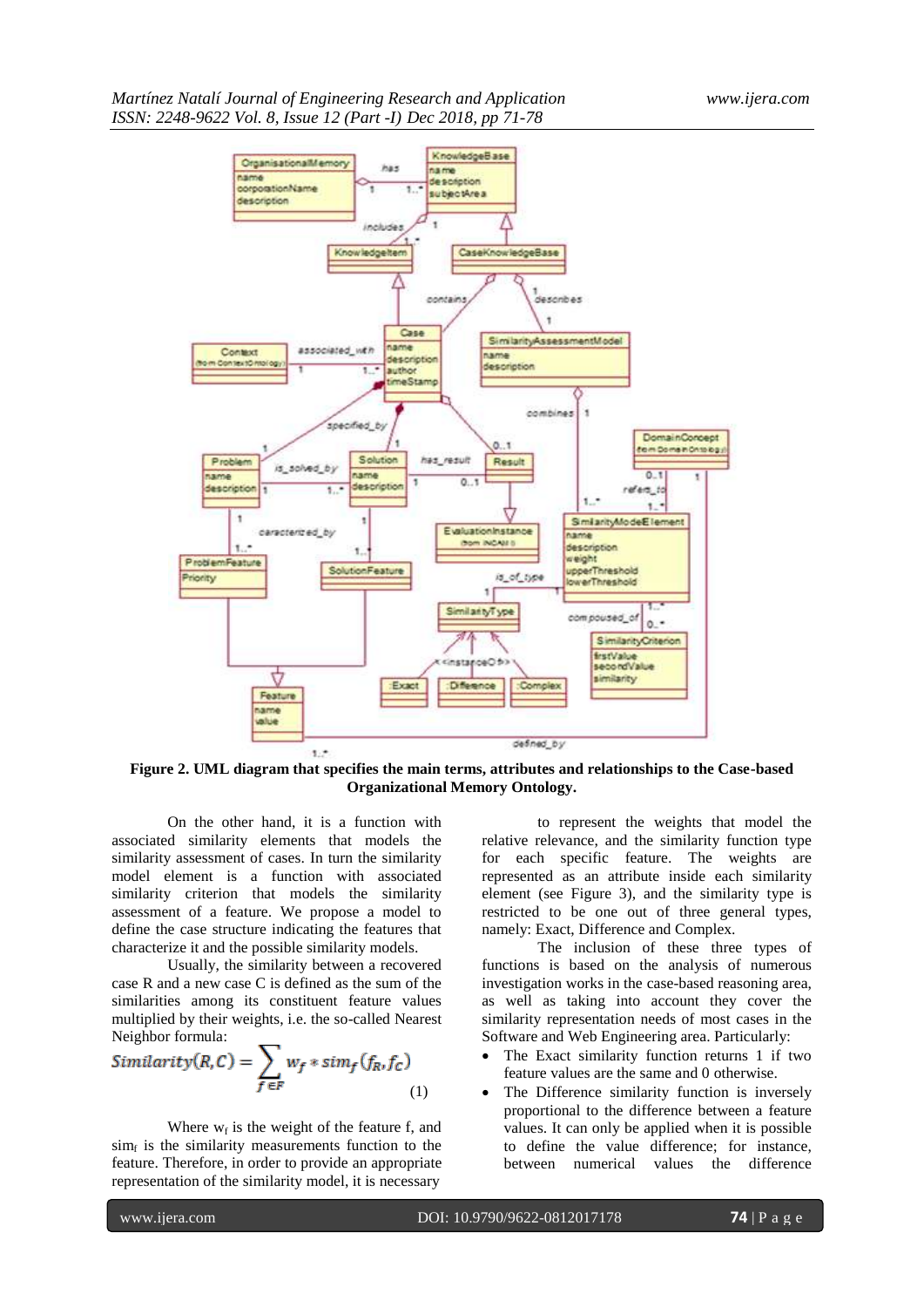

**Figure 2. UML diagram that specifies the main terms, attributes and relationships to the Case-based Organizational Memory Ontology.**

On the other hand, it is a function with associated similarity elements that models the similarity assessment of cases. In turn the similarity model element is a function with associated similarity criterion that models the similarity assessment of a feature. We propose a model to define the case structure indicating the features that characterize it and the possible similarity models.

Usually, the similarity between a recovered case R and a new case C is defined as the sum of the similarities among its constituent feature values multiplied by their weights, i.e. the so-called Nearest Neighbor formula:

$$
Similarity(R, C) = \sum_{f \in F} w_f * sim_f(f_R, f_C)
$$
\n(1)

Where  $w_f$  is the weight of the feature f, and  $\sinh f$  is the similarity measurements function to the feature. Therefore, in order to provide an appropriate representation of the similarity model, it is necessary

to represent the weights that model the relative relevance, and the similarity function type for each specific feature. The weights are represented as an attribute inside each similarity element (see Figure 3), and the similarity type is restricted to be one out of three general types, namely: Exact, Difference and Complex.

The inclusion of these three types of functions is based on the analysis of numerous investigation works in the case-based reasoning area, as well as taking into account they cover the similarity representation needs of most cases in the Software and Web Engineering area. Particularly:

- The Exact similarity function returns 1 if two feature values are the same and 0 otherwise.
- The Difference similarity function is inversely proportional to the difference between a feature values. It can only be applied when it is possible to define the value difference; for instance, between numerical values the difference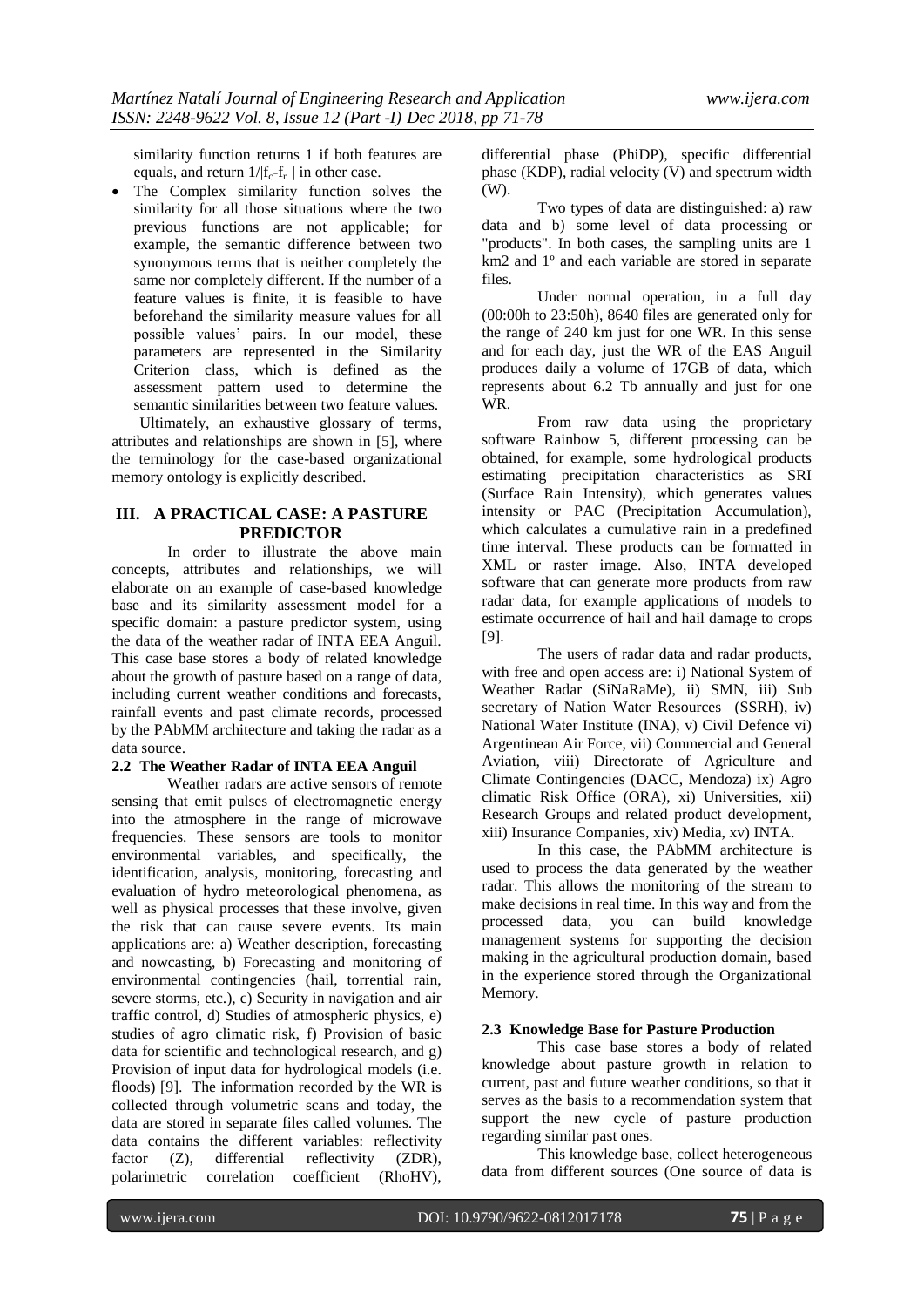similarity function returns 1 if both features are equals, and return  $1/|f_c-f_n|$  in other case.

 The Complex similarity function solves the similarity for all those situations where the two previous functions are not applicable; for example, the semantic difference between two synonymous terms that is neither completely the same nor completely different. If the number of a feature values is finite, it is feasible to have beforehand the similarity measure values for all possible values" pairs. In our model, these parameters are represented in the Similarity Criterion class, which is defined as the assessment pattern used to determine the semantic similarities between two feature values.

Ultimately, an exhaustive glossary of terms, attributes and relationships are shown in [5], where the terminology for the case-based organizational memory ontology is explicitly described.

## **III. A PRACTICAL CASE: A PASTURE PREDICTOR**

In order to illustrate the above main concepts, attributes and relationships, we will elaborate on an example of case-based knowledge base and its similarity assessment model for a specific domain: a pasture predictor system, using the data of the weather radar of INTA EEA Anguil. This case base stores a body of related knowledge about the growth of pasture based on a range of data, including current weather conditions and forecasts, rainfall events and past climate records, processed by the PAbMM architecture and taking the radar as a data source.

#### **2.2 The Weather Radar of INTA EEA Anguil**

Weather radars are active sensors of remote sensing that emit pulses of electromagnetic energy into the atmosphere in the range of microwave frequencies. These sensors are tools to monitor environmental variables, and specifically, the identification, analysis, monitoring, forecasting and evaluation of hydro meteorological phenomena, as well as physical processes that these involve, given the risk that can cause severe events. Its main applications are: a) Weather description, forecasting and nowcasting, b) Forecasting and monitoring of environmental contingencies (hail, torrential rain, severe storms, etc.), c) Security in navigation and air traffic control, d) Studies of atmospheric physics, e) studies of agro climatic risk, f) Provision of basic data for scientific and technological research, and g) Provision of input data for hydrological models (i.e. floods) [9]. The information recorded by the WR is collected through volumetric scans and today, the data are stored in separate files called volumes. The data contains the different variables: reflectivity factor (Z), differential reflectivity (ZDR), polarimetric correlation coefficient (RhoHV),

differential phase (PhiDP), specific differential phase (KDP), radial velocity (V) and spectrum width (W).

Two types of data are distinguished: a) raw data and b) some level of data processing or "products". In both cases, the sampling units are 1 km2 and 1º and each variable are stored in separate files.

Under normal operation, in a full day (00:00h to 23:50h), 8640 files are generated only for the range of 240 km just for one WR. In this sense and for each day, just the WR of the EAS Anguil produces daily a volume of 17GB of data, which represents about 6.2 Tb annually and just for one WR.

From raw data using the proprietary software Rainbow 5, different processing can be obtained, for example, some hydrological products estimating precipitation characteristics as SRI (Surface Rain Intensity), which generates values intensity or PAC (Precipitation Accumulation), which calculates a cumulative rain in a predefined time interval. These products can be formatted in XML or raster image. Also, INTA developed software that can generate more products from raw radar data, for example applications of models to estimate occurrence of hail and hail damage to crops [9].

The users of radar data and radar products, with free and open access are: i) National System of Weather Radar (SiNaRaMe), ii) SMN, iii) Sub secretary of Nation Water Resources (SSRH), iv) National Water Institute (INA), v) Civil Defence vi) Argentinean Air Force, vii) Commercial and General Aviation, viii) Directorate of Agriculture and Climate Contingencies (DACC, Mendoza) ix) Agro climatic Risk Office (ORA), xi) Universities, xii) Research Groups and related product development, xiii) Insurance Companies, xiv) Media, xv) INTA.

In this case, the PAbMM architecture is used to process the data generated by the weather radar. This allows the monitoring of the stream to make decisions in real time. In this way and from the processed data, you can build knowledge management systems for supporting the decision making in the agricultural production domain, based in the experience stored through the Organizational Memory.

### **2.3 Knowledge Base for Pasture Production**

This case base stores a body of related knowledge about pasture growth in relation to current, past and future weather conditions, so that it serves as the basis to a recommendation system that support the new cycle of pasture production regarding similar past ones.

This knowledge base, collect heterogeneous data from different sources (One source of data is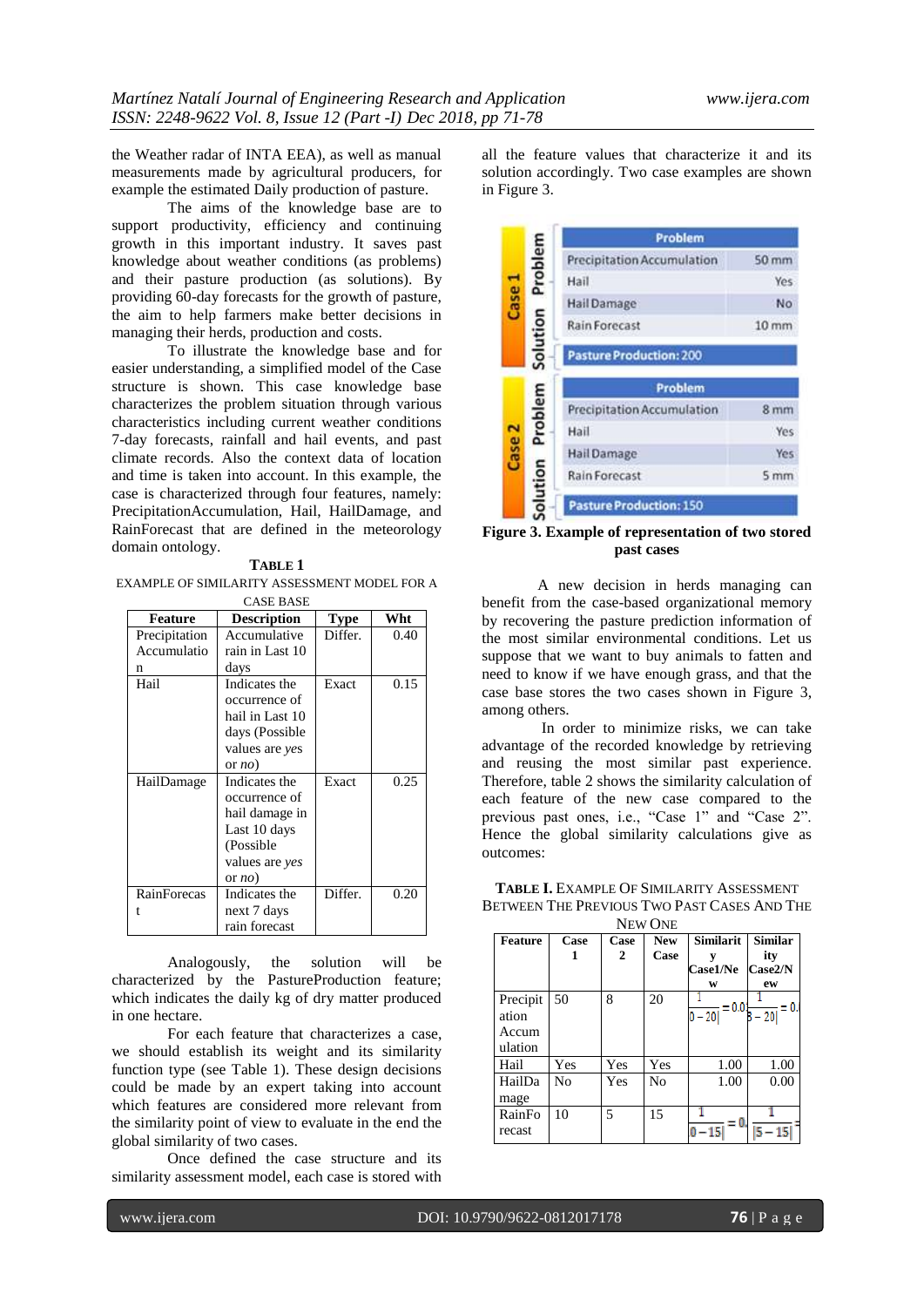the Weather radar of INTA EEA), as well as manual measurements made by agricultural producers, for example the estimated Daily production of pasture.

The aims of the knowledge base are to support productivity, efficiency and continuing growth in this important industry. It saves past knowledge about weather conditions (as problems) and their pasture production (as solutions). By providing 60-day forecasts for the growth of pasture, the aim to help farmers make better decisions in managing their herds, production and costs.

To illustrate the knowledge base and for easier understanding, a simplified model of the Case structure is shown. This case knowledge base characterizes the problem situation through various characteristics including current weather conditions 7-day forecasts, rainfall and hail events, and past climate records. Also the context data of location and time is taken into account. In this example, the case is characterized through four features, namely: PrecipitationAccumulation, Hail, HailDamage, and RainForecast that are defined in the meteorology domain ontology.

| D<br>١Ι<br>n<br>u l |  |
|---------------------|--|
|---------------------|--|

EXAMPLE OF SIMILARITY ASSESSMENT MODEL FOR A CASE BASE

| Feature       | <b>Description</b> | Type    | Wht  |
|---------------|--------------------|---------|------|
| Precipitation | Accumulative       | Differ. | 0.40 |
| Accumulatio   | rain in Last 10    |         |      |
| n             | days               |         |      |
| Hail          | Indicates the      | Exact   | 0.15 |
|               | occurrence of      |         |      |
|               | hail in Last 10    |         |      |
|               | days (Possible     |         |      |
|               | values are yes     |         |      |
|               | or $no)$           |         |      |
| HailDamage    | Indicates the      | Exact   | 0.25 |
|               | occurrence of      |         |      |
|               | hail damage in     |         |      |
|               | Last 10 days       |         |      |
|               | (Possible)         |         |      |
|               | values are yes     |         |      |
|               | or $no)$           |         |      |
| RainForecas   | Indicates the      | Differ. | 0.20 |
|               | next 7 days        |         |      |
|               | rain forecast      |         |      |

Analogously, the solution will be characterized by the PastureProduction feature; which indicates the daily kg of dry matter produced in one hectare.

For each feature that characterizes a case, we should establish its weight and its similarity function type (see Table 1). These design decisions could be made by an expert taking into account which features are considered more relevant from the similarity point of view to evaluate in the end the global similarity of two cases.

Once defined the case structure and its similarity assessment model, each case is stored with

all the feature values that characterize it and its solution accordingly. Two case examples are shown in Figure 3.

|                   |          | Problem                           |                  |  |  |
|-------------------|----------|-----------------------------------|------------------|--|--|
| Problem           |          | Precipitation Accumulation        | $50$ mm          |  |  |
|                   |          | Hail                              | Yes              |  |  |
| Case 1            |          | <b>Hail Damage</b>                | No               |  |  |
|                   |          | <b>Rain Forecast</b>              | 10 <sub>mm</sub> |  |  |
|                   | Solution | <b>Pasture Production: 200</b>    |                  |  |  |
|                   |          | Problem                           |                  |  |  |
|                   |          | <b>Precipitation Accumulation</b> | 8 <sub>mm</sub>  |  |  |
| Problem           |          | Hail                              | Yes              |  |  |
| Case <sub>2</sub> |          | Hail Damage                       | Yes              |  |  |
|                   |          | <b>Rain Forecast</b>              | 5 mm             |  |  |
|                   | Solution | <b>Pasture Production: 150</b>    |                  |  |  |

**Figure 3. Example of representation of two stored past cases**

A new decision in herds managing can benefit from the case-based organizational memory by recovering the pasture prediction information of the most similar environmental conditions. Let us suppose that we want to buy animals to fatten and need to know if we have enough grass, and that the case base stores the two cases shown in Figure 3, among others.

In order to minimize risks, we can take advantage of the recorded knowledge by retrieving and reusing the most similar past experience. Therefore, table 2 shows the similarity calculation of each feature of the new case compared to the previous past ones, i.e., "Case 1" and "Case 2". Hence the global similarity calculations give as outcomes:

**TABLE I.** EXAMPLE OF SIMILARITY ASSESSMENT BETWEEN THE PREVIOUS TWO PAST CASES AND THE NEW ONE

| <b>Feature</b> | Case           | Case | <b>New</b> | <b>Similarit</b>    | <b>Similar</b> |
|----------------|----------------|------|------------|---------------------|----------------|
|                | 1              | 2    | Case       |                     | ity            |
|                |                |      |            | Case1/Ne            | Case2/N        |
|                |                |      |            | W                   | ew             |
| Precipit       | 50             | 8    | 20         |                     |                |
| ation          |                |      |            | $=0.03$<br>$0 - 20$ | 20             |
| Accum          |                |      |            |                     |                |
| ulation        |                |      |            |                     |                |
| Hail           | Yes            | Yes  | Yes        | 1.00                | 1.00           |
| HailDa         | N <sub>0</sub> | Yes  | No         | 1.00                | 0.00           |
| mage           |                |      |            |                     |                |
| RainFo         | 10             | 5    | 15         |                     |                |
| recast         |                |      |            | $0 - 15$            | 15             |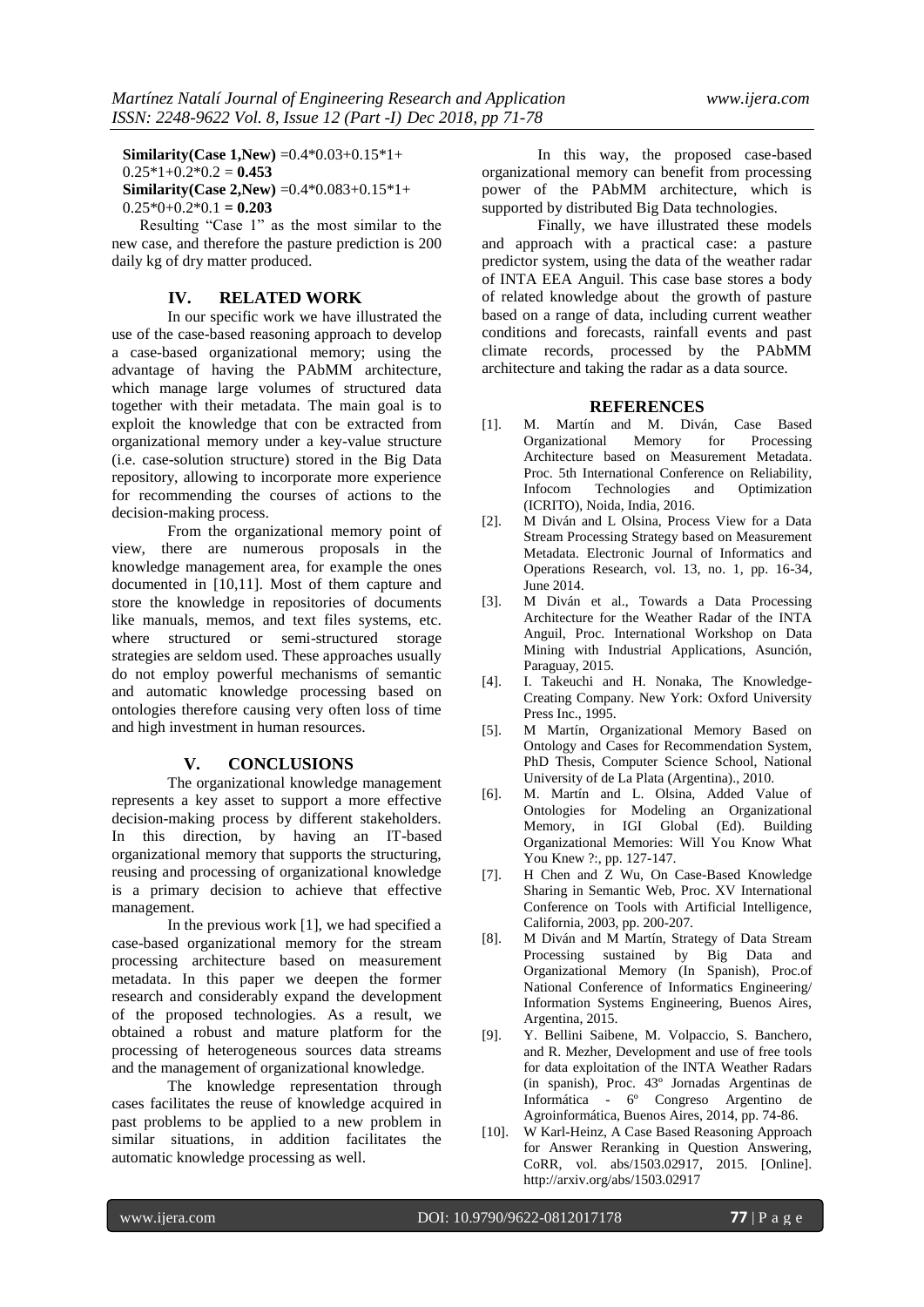**Similarity(Case 1,New)** =0.4\*0.03+0.15\*1+  $0.25*1+0.2*0.2 = 0.453$ **Similarity(Case 2,New)** =0.4\*0.083+0.15\*1+  $0.25*0+0.2*0.1 = 0.203$ 

Resulting "Case 1" as the most similar to the new case, and therefore the pasture prediction is 200 daily kg of dry matter produced.

## **IV. RELATED WORK**

In our specific work we have illustrated the use of the case-based reasoning approach to develop a case-based organizational memory; using the advantage of having the PAbMM architecture, which manage large volumes of structured data together with their metadata. The main goal is to exploit the knowledge that con be extracted from organizational memory under a key-value structure (i.e. case-solution structure) stored in the Big Data repository, allowing to incorporate more experience for recommending the courses of actions to the decision-making process.

From the organizational memory point of view, there are numerous proposals in the knowledge management area, for example the ones documented in [10,11]. Most of them capture and store the knowledge in repositories of documents like manuals, memos, and text files systems, etc. where structured or semi-structured storage strategies are seldom used. These approaches usually do not employ powerful mechanisms of semantic and automatic knowledge processing based on ontologies therefore causing very often loss of time and high investment in human resources.

### **V. CONCLUSIONS**

The organizational knowledge management represents a key asset to support a more effective decision-making process by different stakeholders. In this direction, by having an IT-based organizational memory that supports the structuring, reusing and processing of organizational knowledge is a primary decision to achieve that effective management.

In the previous work [1], we had specified a case-based organizational memory for the stream processing architecture based on measurement metadata. In this paper we deepen the former research and considerably expand the development of the proposed technologies. As a result, we obtained a robust and mature platform for the processing of heterogeneous sources data streams and the management of organizational knowledge.

The knowledge representation through cases facilitates the reuse of knowledge acquired in past problems to be applied to a new problem in similar situations, in addition facilitates the automatic knowledge processing as well.

In this way, the proposed case-based organizational memory can benefit from processing power of the PAbMM architecture, which is supported by distributed Big Data technologies.

Finally, we have illustrated these models and approach with a practical case: a pasture predictor system, using the data of the weather radar of INTA EEA Anguil. This case base stores a body of related knowledge about the growth of pasture based on a range of data, including current weather conditions and forecasts, rainfall events and past climate records, processed by the PAbMM architecture and taking the radar as a data source.

#### **REFERENCES**

- [1]. M. Martín and M. Diván, Case Based Organizational Architecture based on Measurement Metadata. Proc. 5th International Conference on Reliability,<br>Infocom Technologies and Optimization Technologies (ICRITO), Noida, India, 2016.
- [2]. M Diván and L Olsina, Process View for a Data Stream Processing Strategy based on Measurement Metadata. Electronic Journal of Informatics and Operations Research, vol. 13, no. 1, pp. 16-34, June 2014.
- [3]. M Diván et al., Towards a Data Processing Architecture for the Weather Radar of the INTA Anguil, Proc. International Workshop on Data Mining with Industrial Applications, Asunción, Paraguay, 2015.
- [4]. I. Takeuchi and H. Nonaka, The Knowledge-Creating Company. New York: Oxford University Press Inc., 1995.
- [5]. M Martín, Organizational Memory Based on Ontology and Cases for Recommendation System, PhD Thesis, Computer Science School, National University of de La Plata (Argentina)., 2010.
- [6]. M. Martín and L. Olsina, Added Value of Ontologies for Modeling an Organizational Memory, in IGI Global (Ed). Building Organizational Memories: Will You Know What You Knew ?:, pp. 127-147.
- [7]. H Chen and Z Wu, On Case-Based Knowledge Sharing in Semantic Web, Proc. XV International Conference on Tools with Artificial Intelligence, California, 2003, pp. 200-207.
- [8]. M Diván and M Martín, Strategy of Data Stream Processing sustained by Big Data and Organizational Memory (In Spanish), Proc.of National Conference of Informatics Engineering/ Information Systems Engineering, Buenos Aires, Argentina, 2015.
- [9]. Y. Bellini Saibene, M. Volpaccio, S. Banchero, and R. Mezher, Development and use of free tools for data exploitation of the INTA Weather Radars (in spanish), Proc. 43º Jornadas Argentinas de Informática - 6º Congreso Argentino de Agroinformática, Buenos Aires, 2014, pp. 74-86.
- [10]. W Karl-Heinz, A Case Based Reasoning Approach for Answer Reranking in Question Answering, CoRR, vol. abs/1503.02917, 2015. [Online]. http://arxiv.org/abs/1503.02917